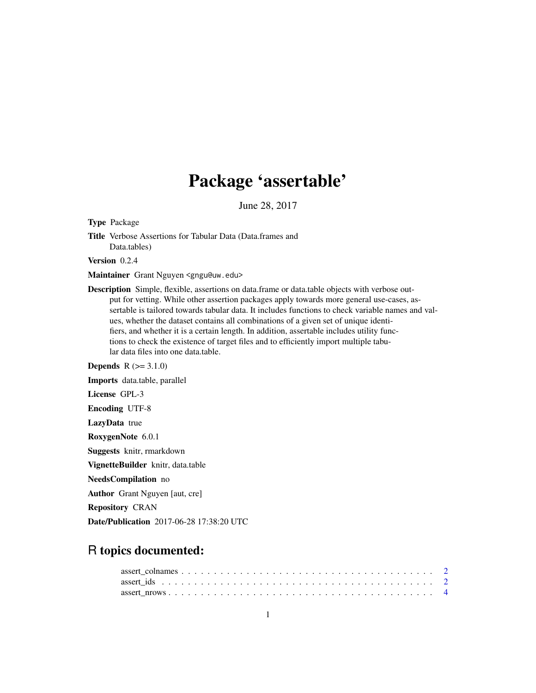# Package 'assertable'

June 28, 2017

Type Package

Title Verbose Assertions for Tabular Data (Data.frames and Data.tables)

Version 0.2.4

Maintainer Grant Nguyen <gngu@uw.edu>

Description Simple, flexible, assertions on data.frame or data.table objects with verbose output for vetting. While other assertion packages apply towards more general use-cases, assertable is tailored towards tabular data. It includes functions to check variable names and values, whether the dataset contains all combinations of a given set of unique identifiers, and whether it is a certain length. In addition, assertable includes utility functions to check the existence of target files and to efficiently import multiple tabular data files into one data.table.

**Depends**  $R (= 3.1.0)$ 

Imports data.table, parallel License GPL-3 Encoding UTF-8 LazyData true RoxygenNote 6.0.1 Suggests knitr, rmarkdown VignetteBuilder knitr, data.table NeedsCompilation no Author Grant Nguyen [aut, cre]

Repository CRAN

Date/Publication 2017-06-28 17:38:20 UTC

# R topics documented: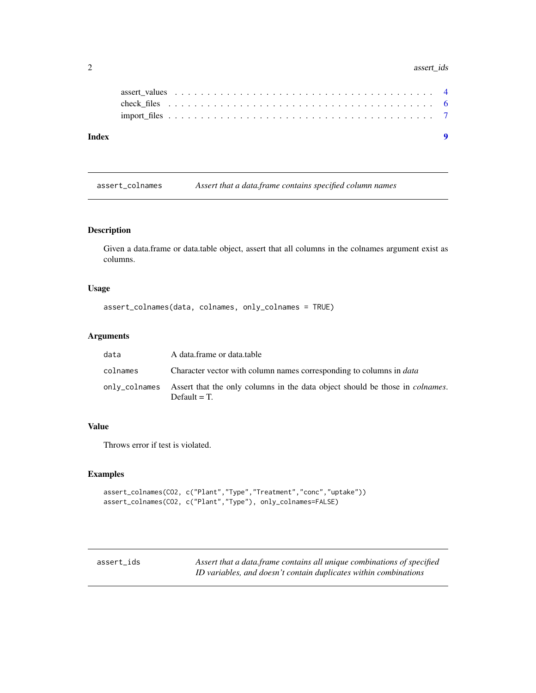#### <span id="page-1-0"></span>2 assert\_ids assert\_ids assert\_ids assert\_ids assert\_ids assert\_ids assert\_ids assert\_ids assert\_ids assert\_ids assert\_ids assert\_ids assert\_ids assert\_ids assert\_ids assert\_ids assert\_ids assert\_ids assert\_ids assert\_ids

| Index |  |  |  |  |  |  |  |  |  |  |  |  |  |  |  |  |  |  |
|-------|--|--|--|--|--|--|--|--|--|--|--|--|--|--|--|--|--|--|
|       |  |  |  |  |  |  |  |  |  |  |  |  |  |  |  |  |  |  |
|       |  |  |  |  |  |  |  |  |  |  |  |  |  |  |  |  |  |  |
|       |  |  |  |  |  |  |  |  |  |  |  |  |  |  |  |  |  |  |
|       |  |  |  |  |  |  |  |  |  |  |  |  |  |  |  |  |  |  |

assert\_colnames *Assert that a data.frame contains specified column names*

# Description

Given a data.frame or data.table object, assert that all columns in the colnames argument exist as columns.

# Usage

```
assert_colnames(data, colnames, only_colnames = TRUE)
```
# Arguments

| data     | A data.frame or data.table                                                                                           |
|----------|----------------------------------------------------------------------------------------------------------------------|
| colnames | Character vector with column names corresponding to columns in <i>data</i>                                           |
|          | only_colnames Assert that the only columns in the data object should be those in <i>colnames</i> .<br>Default $=T$ . |

# Value

Throws error if test is violated.

# Examples

```
assert_colnames(CO2, c("Plant","Type","Treatment","conc","uptake"))
assert_colnames(CO2, c("Plant","Type"), only_colnames=FALSE)
```
assert\_ids *Assert that a data.frame contains all unique combinations of specified ID variables, and doesn't contain duplicates within combinations*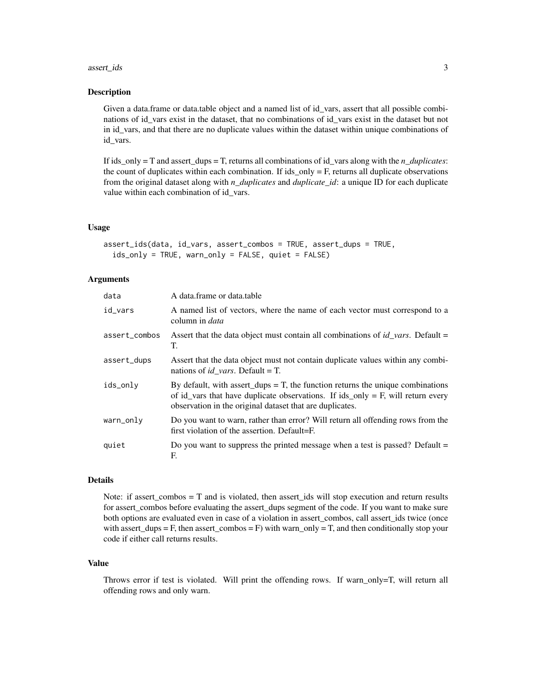#### assert\_ids 3

#### Description

Given a data.frame or data.table object and a named list of id\_vars, assert that all possible combinations of id\_vars exist in the dataset, that no combinations of id\_vars exist in the dataset but not in id\_vars, and that there are no duplicate values within the dataset within unique combinations of id\_vars.

If ids\_only = T and assert\_dups = T, returns all combinations of id\_vars along with the *n\_duplicates*: the count of duplicates within each combination. If  $ids\_only = F$ , returns all duplicate observations from the original dataset along with *n\_duplicates* and *duplicate\_id*: a unique ID for each duplicate value within each combination of id\_vars.

#### Usage

```
assert_ids(data, id_vars, assert_combos = TRUE, assert_dups = TRUE,
  ids_only = TRUE, warn_only = FALSE, quiet = FALSE)
```
#### Arguments

| data          | A data.frame or data.table                                                                                                                                                                                                       |
|---------------|----------------------------------------------------------------------------------------------------------------------------------------------------------------------------------------------------------------------------------|
| id_vars       | A named list of vectors, where the name of each vector must correspond to a<br>column in <i>data</i>                                                                                                                             |
| assert_combos | Assert that the data object must contain all combinations of $id\_vars$ . Default =<br>T.                                                                                                                                        |
| assert_dups   | Assert that the data object must not contain duplicate values within any combi-<br>nations of <i>id_vars</i> . Default = T.                                                                                                      |
| ids_only      | By default, with assert_dups = $T$ , the function returns the unique combinations<br>of id_vars that have duplicate observations. If ids_only = F, will return every<br>observation in the original dataset that are duplicates. |
| warn_only     | Do you want to warn, rather than error? Will return all offending rows from the<br>first violation of the assertion. Default=F.                                                                                                  |
| quiet         | Do you want to suppress the printed message when a test is passed? Default $=$<br>F.                                                                                                                                             |

#### Details

Note: if assert\_combos = T and is violated, then assert\_ids will stop execution and return results for assert\_combos before evaluating the assert\_dups segment of the code. If you want to make sure both options are evaluated even in case of a violation in assert\_combos, call assert\_ids twice (once with assert\_dups = F, then assert\_combos = F) with warn\_only = T, and then conditionally stop your code if either call returns results.

#### Value

Throws error if test is violated. Will print the offending rows. If warn\_only=T, will return all offending rows and only warn.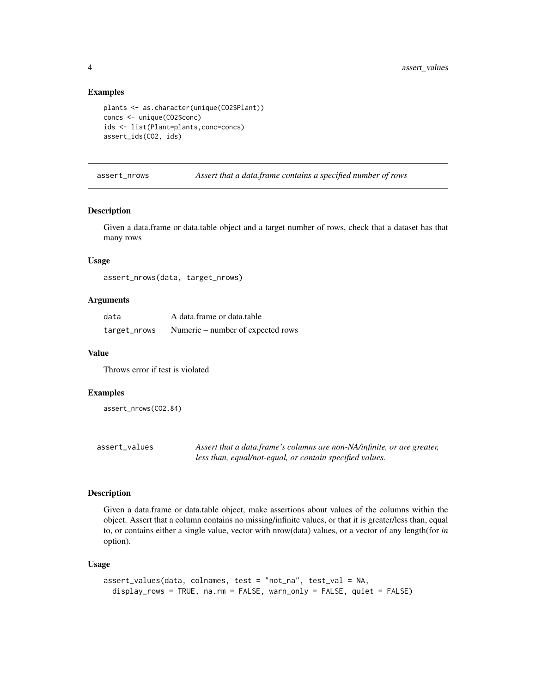#### Examples

```
plants <- as.character(unique(CO2$Plant))
concs <- unique(CO2$conc)
ids <- list(Plant=plants,conc=concs)
assert_ids(CO2, ids)
```
assert\_nrows *Assert that a data.frame contains a specified number of rows*

#### Description

Given a data.frame or data.table object and a target number of rows, check that a dataset has that many rows

#### Usage

assert\_nrows(data, target\_nrows)

#### Arguments

| data         | A data.frame or data.table        |
|--------------|-----------------------------------|
| target_nrows | Numeric – number of expected rows |

#### Value

Throws error if test is violated

#### Examples

assert\_nrows(CO2,84)

| assert_values | Assert that a data.frame's columns are non-NA/infinite, or are greater, |
|---------------|-------------------------------------------------------------------------|
|               | less than, equal/not-equal, or contain specified values.                |

#### Description

Given a data.frame or data.table object, make assertions about values of the columns within the object. Assert that a column contains no missing/infinite values, or that it is greater/less than, equal to, or contains either a single value, vector with nrow(data) values, or a vector of any length(for *in* option).

#### Usage

```
assert_values(data, colnames, test = "not_na", test_val = NA,
 display_rows = TRUE, na.rm = FALSE, warn_only = FALSE, quiet = FALSE)
```
<span id="page-3-0"></span>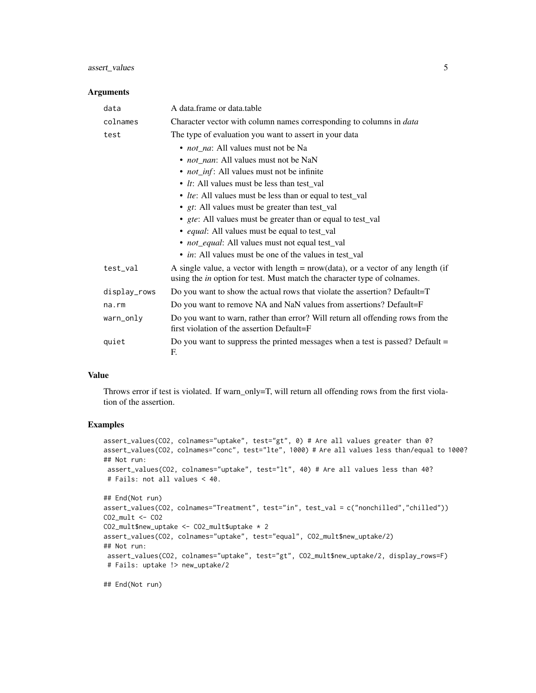# assert\_values 5

#### Arguments

| data  |              | A data frame or data table                                                                                                                                            |
|-------|--------------|-----------------------------------------------------------------------------------------------------------------------------------------------------------------------|
|       | colnames     | Character vector with column names corresponding to columns in <i>data</i>                                                                                            |
| test  |              | The type of evaluation you want to assert in your data                                                                                                                |
|       |              | • <i>not_na</i> : All values must not be Na                                                                                                                           |
|       |              | • <i>not_nan</i> : All values must not be NaN                                                                                                                         |
|       |              | • <i>not_inf</i> : All values must not be infinite                                                                                                                    |
|       |              | • <i>It</i> : All values must be less than test val                                                                                                                   |
|       |              | • <i>Ite</i> : All values must be less than or equal to test_val                                                                                                      |
|       |              | • gt: All values must be greater than test_val                                                                                                                        |
|       |              | • <i>gte</i> : All values must be greater than or equal to test_val                                                                                                   |
|       |              | • equal: All values must be equal to test_val                                                                                                                         |
|       |              | • <i>not_equal</i> : All values must not equal test_val                                                                                                               |
|       |              | • <i>in</i> : All values must be one of the values in test_val                                                                                                        |
|       | test_val     | A single value, a vector with length $=$ nrow(data), or a vector of any length (if<br>using the <i>in</i> option for test. Must match the character type of colnames. |
|       | display_rows | Do you want to show the actual rows that violate the assertion? Default=T                                                                                             |
| na.rm |              | Do you want to remove NA and NaN values from assertions? Default=F                                                                                                    |
|       | warn_only    | Do you want to warn, rather than error? Will return all offending rows from the<br>first violation of the assertion Default=F                                         |
| quiet |              | Do you want to suppress the printed messages when a test is passed? Default =<br>F.                                                                                   |

#### Value

Throws error if test is violated. If warn\_only=T, will return all offending rows from the first violation of the assertion.

#### Examples

```
assert_values(CO2, colnames="uptake", test="gt", 0) # Are all values greater than 0?
assert_values(CO2, colnames="conc", test="lte", 1000) # Are all values less than/equal to 1000?
## Not run:
assert_values(CO2, colnames="uptake", test="lt", 40) # Are all values less than 40?
# Fails: not all values < 40.
```

```
## End(Not run)
assert_values(CO2, colnames="Treatment", test="in", test_val = c("nonchilled","chilled"))
CO2_mult <- CO2
CO2_mult$new_uptake <- CO2_mult$uptake * 2
assert_values(CO2, colnames="uptake", test="equal", CO2_mult$new_uptake/2)
## Not run:
assert_values(CO2, colnames="uptake", test="gt", CO2_mult$new_uptake/2, display_rows=F)
# Fails: uptake !> new_uptake/2
```
## End(Not run)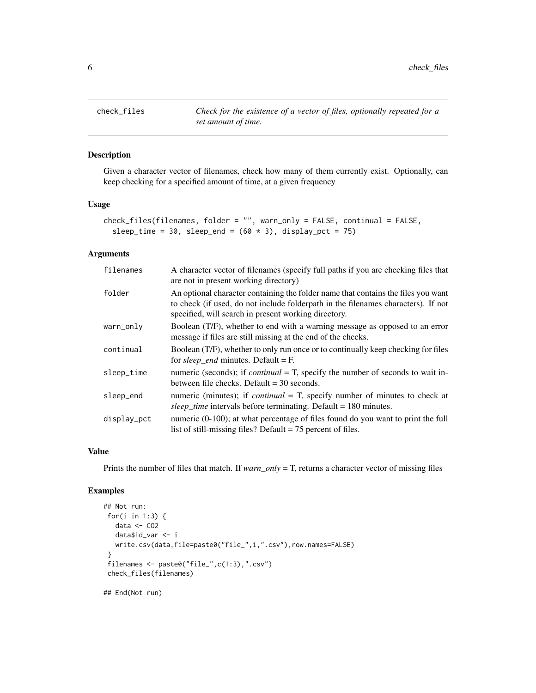<span id="page-5-0"></span>check\_files *Check for the existence of a vector of files, optionally repeated for a set amount of time.*

# Description

Given a character vector of filenames, check how many of them currently exist. Optionally, can keep checking for a specified amount of time, at a given frequency

#### Usage

```
check_files(filenames, folder = "", warn_only = FALSE, continual = FALSE,
  sleep_time = 30, sleep_end = (60 * 3), display_pct = 75)
```
#### Arguments

| filenames   | A character vector of filenames (specify full paths if you are checking files that<br>are not in present working directory)                                                                                                    |
|-------------|--------------------------------------------------------------------------------------------------------------------------------------------------------------------------------------------------------------------------------|
| folder      | An optional character containing the folder name that contains the files you want<br>to check (if used, do not include folderpath in the filenames characters). If not<br>specified, will search in present working directory. |
| warn_only   | Boolean (T/F), whether to end with a warning message as opposed to an error<br>message if files are still missing at the end of the checks.                                                                                    |
| continual   | Boolean (T/F), whether to only run once or to continually keep checking for files<br>for sleep_end minutes. Default = $F$ .                                                                                                    |
| sleep_time  | numeric (seconds); if <i>continual</i> = T, specify the number of seconds to wait in-<br>between file checks. Default $=$ 30 seconds.                                                                                          |
| sleep_end   | numeric (minutes); if <i>continual</i> = $T$ , specify number of minutes to check at<br><i>sleep_time</i> intervals before terminating. Default = 180 minutes.                                                                 |
| display_pct | numeric (0-100); at what percentage of files found do you want to print the full<br>list of still-missing files? Default $= 75$ percent of files.                                                                              |

#### Value

Prints the number of files that match. If *warn\_only* = T, returns a character vector of missing files

# Examples

```
## Not run:
for(i in 1:3) {
  data <- CO2
  data$id_var <- i
  write.csv(data,file=paste0("file_",i,".csv"),row.names=FALSE)
}
filenames <- paste0("file_",c(1:3),".csv")
check_files(filenames)
```
## End(Not run)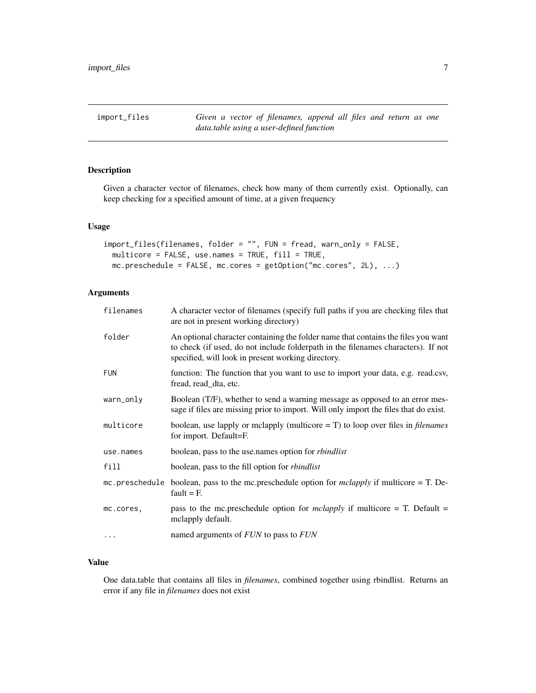<span id="page-6-0"></span>import\_files *Given a vector of filenames, append all files and return as one data.table using a user-defined function*

### Description

Given a character vector of filenames, check how many of them currently exist. Optionally, can keep checking for a specified amount of time, at a given frequency

# Usage

```
import_files(filenames, folder = "", FUN = fread, warn_only = FALSE,
 multicore = FALSE, use.names = TRUE, fill = TRUE,
 mc.preschedule = FALSE, mc.cores = getOption("mc.cores", 2L), ...)
```
# Arguments

| filenames  | A character vector of filenames (specify full paths if you are checking files that<br>are not in present working directory)                                                                                                  |
|------------|------------------------------------------------------------------------------------------------------------------------------------------------------------------------------------------------------------------------------|
| folder     | An optional character containing the folder name that contains the files you want<br>to check (if used, do not include folderpath in the filenames characters). If not<br>specified, will look in present working directory. |
| <b>FUN</b> | function: The function that you want to use to import your data, e.g. read.csv,<br>fread, read_dta, etc.                                                                                                                     |
| warn_only  | Boolean (T/F), whether to send a warning message as opposed to an error mes-<br>sage if files are missing prior to import. Will only import the files that do exist.                                                         |
| multicore  | boolean, use lapply or mclapply (multicore $= T$ ) to loop over files in <i>filenames</i><br>for import. Default=F.                                                                                                          |
| use.names  | boolean, pass to the use names option for <i>rbindlist</i>                                                                                                                                                                   |
| fill       | boolean, pass to the fill option for <i>rbindlist</i>                                                                                                                                                                        |
|            | mc.preschedule boolean, pass to the mc.preschedule option for mclapply if multicore = T. De-<br>fault $=$ F.                                                                                                                 |
| mc.cores,  | pass to the mc.preschedule option for <i>mclapply</i> if multicore = T. Default =<br>mclapply default.                                                                                                                       |
| .          | named arguments of <i>FUN</i> to pass to <i>FUN</i>                                                                                                                                                                          |

## Value

One data.table that contains all files in *filenames*, combined together using rbindlist. Returns an error if any file in *filenames* does not exist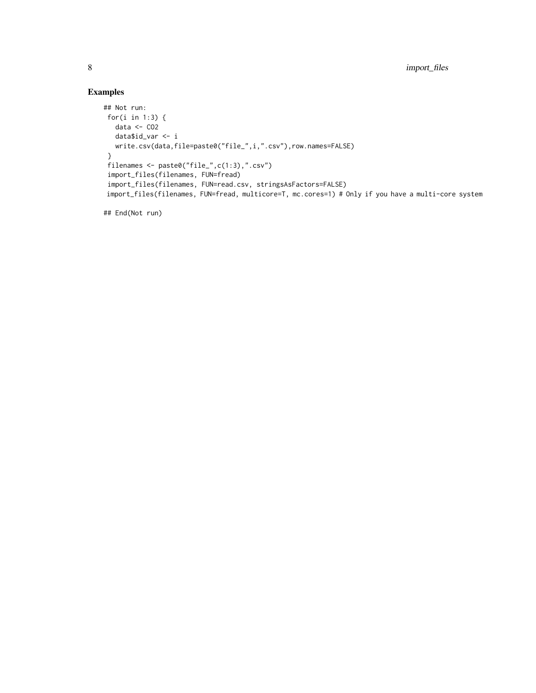# Examples

```
## Not run:
for(i in 1:3) {
  data <- CO2
  data$id_var <- i
  write.csv(data,file=paste0("file_",i,".csv"),row.names=FALSE)
 }
 filenames <- paste0("file_",c(1:3),".csv")
 import_files(filenames, FUN=fread)
 import_files(filenames, FUN=read.csv, stringsAsFactors=FALSE)
import_files(filenames, FUN=fread, multicore=T, mc.cores=1) # Only if you have a multi-core system
```
## End(Not run)